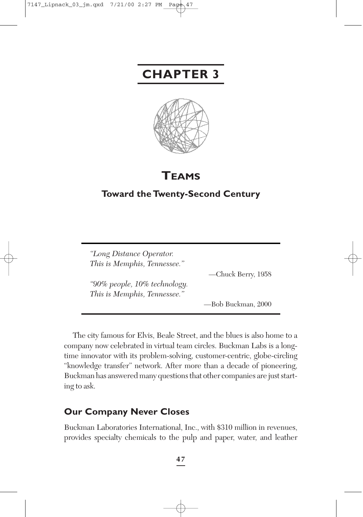# **CHAPTER 3**



**TEAMS**

# **Toward the Twenty-Second Century**

| "Long Distance Operator.<br>This is Memphis, Tennessee." |                    |
|----------------------------------------------------------|--------------------|
|                                                          | -Chuck Berry, 1958 |
| "90% people, 10% technology.                             |                    |
| This is Memphis, Tennessee."                             |                    |
|                                                          | -Bob Buckman, 2000 |

The city famous for Elvis, Beale Street, and the blues is also home to a company now celebrated in virtual team circles. Buckman Labs is a longtime innovator with its problem-solving, customer-centric, globe-circling "knowledge transfer" network. After more than a decade of pioneering, Buckman has answered many questions that other companies are just starting to ask.

# **Our Company Never Closes**

Buckman Laboratories International, Inc., with \$310 million in revenues, provides specialty chemicals to the pulp and paper, water, and leather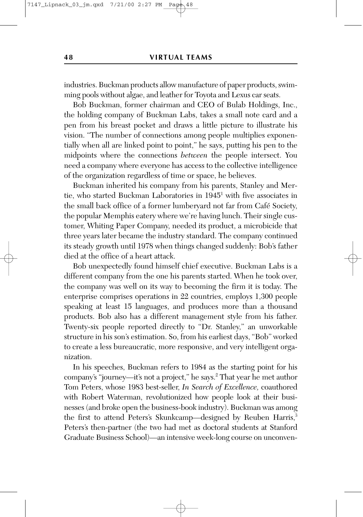industries. Buckman products allow manufacture of paper products, swimming pools without algae, and leather for Toyota and Lexus car seats.

Bob Buckman, former chairman and CEO of Bulab Holdings, Inc., the holding company of Buckman Labs, takes a small note card and a pen from his breast pocket and draws a little picture to illustrate his vision. "The number of connections among people multiplies exponentially when all are linked point to point," he says, putting his pen to the midpoints where the connections *between* the people intersect. You need a company where everyone has access to the collective intelligence of the organization regardless of time or space, he believes.

Buckman inherited his company from his parents, Stanley and Mertie, who started Buckman Laboratories in 19451 with five associates in the small back office of a former lumberyard not far from Café Society, the popular Memphis eatery where we're having lunch. Their single customer, Whiting Paper Company, needed its product, a microbicide that three years later became the industry standard. The company continued its steady growth until 1978 when things changed suddenly: Bob's father died at the office of a heart attack.

Bob unexpectedly found himself chief executive. Buckman Labs is a different company from the one his parents started. When he took over, the company was well on its way to becoming the firm it is today. The enterprise comprises operations in 22 countries, employs 1,300 people speaking at least 15 languages, and produces more than a thousand products. Bob also has a different management style from his father. Twenty-six people reported directly to "Dr. Stanley," an unworkable structure in his son's estimation. So, from his earliest days, "Bob" worked to create a less bureaucratic, more responsive, and very intelligent organization.

In his speeches, Buckman refers to 1984 as the starting point for his company's "journey—it's not a project," he says.<sup>2</sup> That year he met author Tom Peters, whose 1983 best-seller, *In Search of Excellence,* coauthored with Robert Waterman, revolutionized how people look at their businesses (and broke open the business-book industry). Buckman was among the first to attend Peters's Skunkcamp—designed by Reuben Harris,<sup>3</sup> Peters's then-partner (the two had met as doctoral students at Stanford Graduate Business School)—an intensive week-long course on unconven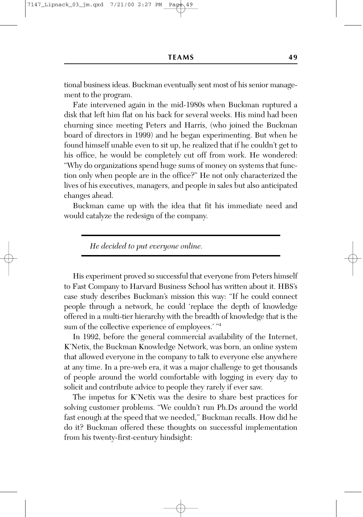tional business ideas. Buckman eventually sent most of his senior management to the program.

Fate intervened again in the mid-1980s when Buckman ruptured a disk that left him flat on his back for several weeks. His mind had been churning since meeting Peters and Harris, (who joined the Buckman board of directors in 1999) and he began experimenting. But when he found himself unable even to sit up, he realized that if he couldn't get to his office, he would be completely cut off from work. He wondered: "Why do organizations spend huge sums of money on systems that function only when people are in the office?" He not only characterized the lives of his executives, managers, and people in sales but also anticipated changes ahead.

Buckman came up with the idea that fit his immediate need and would catalyze the redesign of the company.

*He decided to put everyone online.*

His experiment proved so successful that everyone from Peters himself to Fast Company to Harvard Business School has written about it. HBS's case study describes Buckman's mission this way: "If he could connect people through a network, he could 'replace the depth of knowledge offered in a multi-tier hierarchy with the breadth of knowledge that is the sum of the collective experience of employees.' "4

In 1992, before the general commercial availability of the Internet, K'Netix, the Buckman Knowledge Network, was born, an online system that allowed everyone in the company to talk to everyone else anywhere at any time. In a pre-web era, it was a major challenge to get thousands of people around the world comfortable with logging in every day to solicit and contribute advice to people they rarely if ever saw.

The impetus for K'Netix was the desire to share best practices for solving customer problems. "We couldn't run Ph.Ds around the world fast enough at the speed that we needed," Buckman recalls. How did he do it? Buckman offered these thoughts on successful implementation from his twenty-first-century hindsight: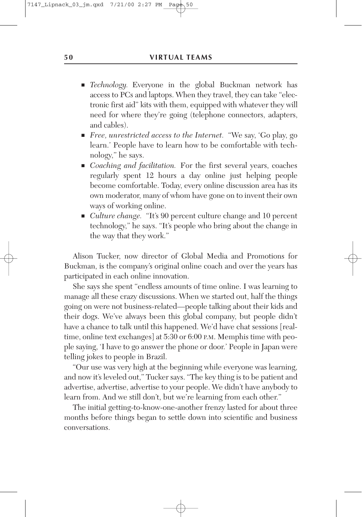- *Technology.* Everyone in the global Buckman network has access to PCs and laptops. When they travel, they can take "electronic first aid" kits with them, equipped with whatever they will need for where they're going (telephone connectors, adapters, and cables).
- *Free, unrestricted access to the Internet.* "We say, 'Go play, go learn.' People have to learn how to be comfortable with technology," he says.
- *Coaching and facilitation*. For the first several years, coaches regularly spent 12 hours a day online just helping people become comfortable. Today, every online discussion area has its own moderator, many of whom have gone on to invent their own ways of working online.
- *Culture change.* "It's 90 percent culture change and 10 percent technology," he says. "It's people who bring about the change in the way that they work."

Alison Tucker, now director of Global Media and Promotions for Buckman, is the company's original online coach and over the years has participated in each online innovation.

She says she spent "endless amounts of time online. I was learning to manage all these crazy discussions. When we started out, half the things going on were not business-related—people talking about their kids and their dogs. We've always been this global company, but people didn't have a chance to talk until this happened. We'd have chat sessions [realtime, online text exchanges] at 5:30 or 6:00 P.M. Memphis time with people saying, 'I have to go answer the phone or door.' People in Japan were telling jokes to people in Brazil.

"Our use was very high at the beginning while everyone was learning, and now it's leveled out," Tucker says. "The key thing is to be patient and advertise, advertise, advertise to your people. We didn't have anybody to learn from. And we still don't, but we're learning from each other."

The initial getting-to-know-one-another frenzy lasted for about three months before things began to settle down into scientific and business conversations.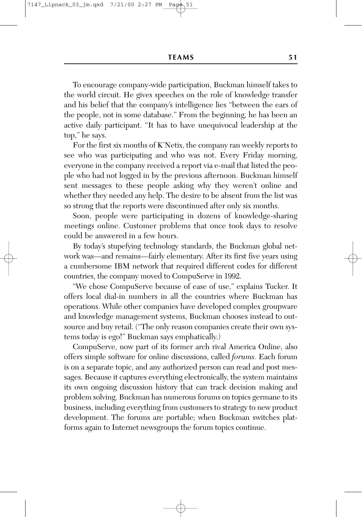To encourage company-wide participation, Buckman himself takes to the world circuit. He gives speeches on the role of knowledge transfer and his belief that the company's intelligence lies "between the ears of the people, not in some database." From the beginning, he has been an active daily participant. "It has to have unequivocal leadership at the top," he says.

For the first six months of K'Netix, the company ran weekly reports to see who was participating and who was not. Every Friday morning, everyone in the company received a report via e-mail that listed the people who had not logged in by the previous afternoon. Buckman himself sent messages to these people asking why they weren't online and whether they needed any help. The desire to be absent from the list was so strong that the reports were discontinued after only six months.

Soon, people were participating in dozens of knowledge-sharing meetings online. Customer problems that once took days to resolve could be answered in a few hours.

By today's stupefying technology standards, the Buckman global network was—and remains—fairly elementary. After its first five years using a cumbersome IBM network that required different codes for different countries, the company moved to CompuServe in 1992.

"We chose CompuServe because of ease of use," explains Tucker. It offers local dial-in numbers in all the countries where Buckman has operations. While other companies have developed complex groupware and knowledge management systems, Buckman chooses instead to outsource and buy retail. ("The only reason companies create their own systems today is ego!" Buckman says emphatically.)

CompuServe, now part of its former arch rival America Online, also offers simple software for online discussions, called *forums.* Each forum is on a separate topic, and any authorized person can read and post messages. Because it captures everything electronically, the system maintains its own ongoing discussion history that can track decision making and problem solving. Buckman has numerous forums on topics germane to its business, including everything from customers to strategy to new product development. The forums are portable; when Buckman switches platforms again to Internet newsgroups the forum topics continue.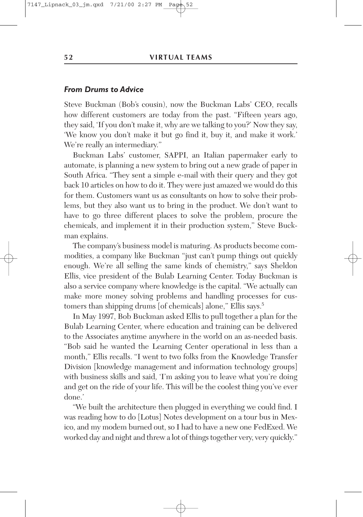#### *From Drums to Advice*

Steve Buckman (Bob's cousin), now the Buckman Labs' CEO, recalls how different customers are today from the past. "Fifteen years ago, they said, 'If you don't make it, why are we talking to you?' Now they say, 'We know you don't make it but go find it, buy it, and make it work.' We're really an intermediary."

Buckman Labs' customer, SAPPI, an Italian papermaker early to automate, is planning a new system to bring out a new grade of paper in South Africa. "They sent a simple e-mail with their query and they got back 10 articles on how to do it. They were just amazed we would do this for them. Customers want us as consultants on how to solve their problems, but they also want us to bring in the product. We don't want to have to go three different places to solve the problem, procure the chemicals, and implement it in their production system," Steve Buckman explains.

The company's business model is maturing. As products become commodities, a company like Buckman "just can't pump things out quickly enough. We're all selling the same kinds of chemistry," says Sheldon Ellis, vice president of the Bulab Learning Center. Today Buckman is also a service company where knowledge is the capital. "We actually can make more money solving problems and handling processes for customers than shipping drums [of chemicals] alone," Ellis says.<sup>5</sup>

In May 1997, Bob Buckman asked Ellis to pull together a plan for the Bulab Learning Center, where education and training can be delivered to the Associates anytime anywhere in the world on an as-needed basis. "Bob said he wanted the Learning Center operational in less than a month," Ellis recalls. "I went to two folks from the Knowledge Transfer Division [knowledge management and information technology groups] with business skills and said, 'I'm asking you to leave what you're doing and get on the ride of your life. This will be the coolest thing you've ever done.'

"We built the architecture then plugged in everything we could find. I was reading how to do [Lotus] Notes development on a tour bus in Mexico, and my modem burned out, so I had to have a new one FedExed. We worked day and night and threw a lot of things together very, very quickly."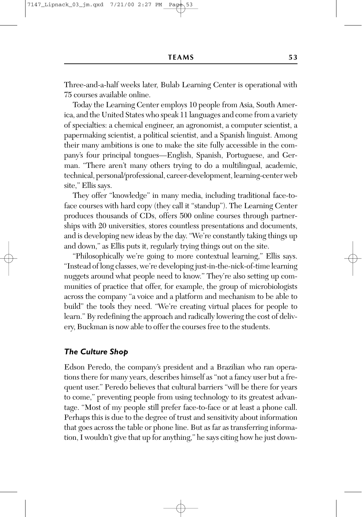Three-and-a-half weeks later, Bulab Learning Center is operational with 75 courses available online.

Today the Learning Center employs 10 people from Asia, South America, and the United States who speak 11 languages and come from a variety of specialties: a chemical engineer, an agronomist, a computer scientist, a papermaking scientist, a political scientist, and a Spanish linguist. Among their many ambitions is one to make the site fully accessible in the company's four principal tongues—English, Spanish, Portuguese, and German. "There aren't many others trying to do a multilingual, academic, technical, personal/professional, career-development, learning-center web site," Ellis says.

They offer "knowledge" in many media, including traditional face-toface courses with hard copy (they call it "standup"). The Learning Center produces thousands of CDs, offers 500 online courses through partnerships with 20 universities, stores countless presentations and documents, and is developing new ideas by the day. "We're constantly taking things up and down," as Ellis puts it, regularly trying things out on the site.

"Philosophically we're going to more contextual learning," Ellis says. "Instead of long classes, we're developing just-in-the-nick-of-time learning nuggets around what people need to know." They're also setting up communities of practice that offer, for example, the group of microbiologists across the company "a voice and a platform and mechanism to be able to build" the tools they need. "We're creating virtual places for people to learn." By redefining the approach and radically lowering the cost of delivery, Buckman is now able to offer the courses free to the students.

#### *The Culture Shop*

Edson Peredo, the company's president and a Brazilian who ran operations there for many years, describes himself as "not a fancy user but a frequent user." Peredo believes that cultural barriers "will be there for years to come," preventing people from using technology to its greatest advantage. "Most of my people still prefer face-to-face or at least a phone call. Perhaps this is due to the degree of trust and sensitivity about information that goes across the table or phone line. But as far as transferring information, I wouldn't give that up for anything," he says citing how he just down-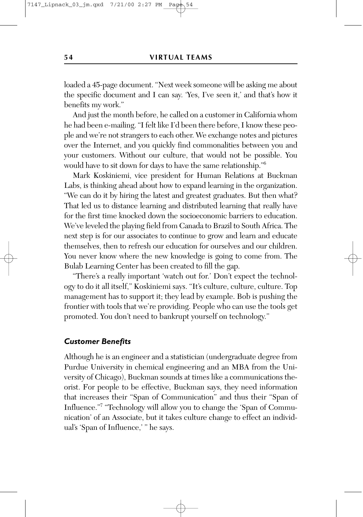loaded a 45-page document. "Next week someone will be asking me about the specific document and I can say. 'Yes, I've seen it,' and that's how it benefits my work."

And just the month before, he called on a customer in California whom he had been e-mailing. "I felt like I'd been there before, I know these people and we're not strangers to each other. We exchange notes and pictures over the Internet, and you quickly find commonalities between you and your customers. Without our culture, that would not be possible. You would have to sit down for days to have the same relationship."6

Mark Koskiniemi, vice president for Human Relations at Buckman Labs, is thinking ahead about how to expand learning in the organization. "We can do it by hiring the latest and greatest graduates. But then what? That led us to distance learning and distributed learning that really have for the first time knocked down the socioeconomic barriers to education. We've leveled the playing field from Canada to Brazil to South Africa. The next step is for our associates to continue to grow and learn and educate themselves, then to refresh our education for ourselves and our children. You never know where the new knowledge is going to come from. The Bulab Learning Center has been created to fill the gap.

"There's a really important 'watch out for.' Don't expect the technology to do it all itself," Koskiniemi says. "It's culture, culture, culture. Top management has to support it; they lead by example. Bob is pushing the frontier with tools that we're providing. People who can use the tools get promoted. You don't need to bankrupt yourself on technology."

#### *Customer Benefits*

Although he is an engineer and a statistician (undergraduate degree from Purdue University in chemical engineering and an MBA from the University of Chicago), Buckman sounds at times like a communications theorist. For people to be effective, Buckman says, they need information that increases their "Span of Communication" and thus their "Span of Influence."7 "Technology will allow you to change the 'Span of Communication' of an Associate, but it takes culture change to effect an individual's 'Span of Influence,' " he says.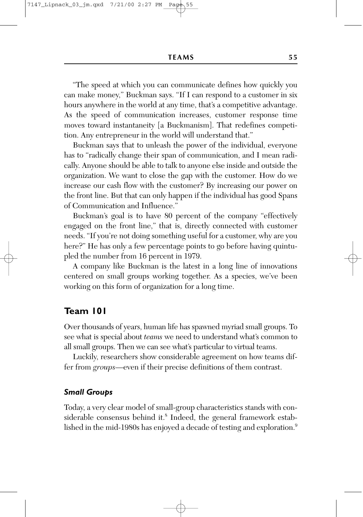"The speed at which you can communicate defines how quickly you can make money," Buckman says. "If I can respond to a customer in six hours anywhere in the world at any time, that's a competitive advantage. As the speed of communication increases, customer response time moves toward instantaneity [a Buckmanism]. That redefines competition. Any entrepreneur in the world will understand that."

Buckman says that to unleash the power of the individual, everyone has to "radically change their span of communication, and I mean radically. Anyone should be able to talk to anyone else inside and outside the organization. We want to close the gap with the customer. How do we increase our cash flow with the customer? By increasing our power on the front line. But that can only happen if the individual has good Spans of Communication and Influence."

Buckman's goal is to have 80 percent of the company "effectively engaged on the front line," that is, directly connected with customer needs. "If you're not doing something useful for a customer, why are you here?" He has only a few percentage points to go before having quintupled the number from 16 percent in 1979.

A company like Buckman is the latest in a long line of innovations centered on small groups working together. As a species, we've been working on this form of organization for a long time.

### **Team 101**

Over thousands of years, human life has spawned myriad small groups. To see what is special about *teams* we need to understand what's common to all small groups. Then we can see what's particular to virtual teams.

Luckily, researchers show considerable agreement on how teams differ from *groups—*even if their precise definitions of them contrast.

#### *Small Groups*

Today, a very clear model of small-group characteristics stands with considerable consensus behind it.<sup>8</sup> Indeed, the general framework established in the mid-1980s has enjoyed a decade of testing and exploration.<sup>9</sup>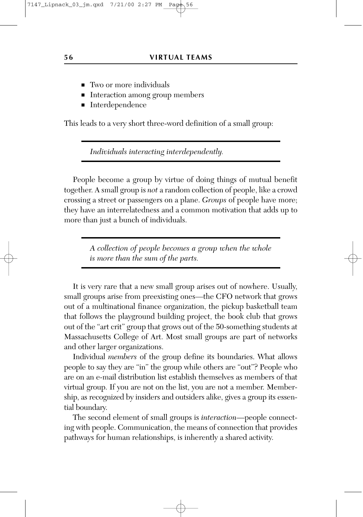- Two or more individuals
- Interaction among group members
- Interdependence

This leads to a very short three-word definition of a small group:

*Individuals interacting interdependently.*

People become a group by virtue of doing things of mutual benefit together. A small group is *not* a random collection of people, like a crowd crossing a street or passengers on a plane. *Groups* of people have more; they have an interrelatedness and a common motivation that adds up to more than just a bunch of individuals.

> *A collection of people becomes a group when the whole is more than the sum of the parts.*

It is very rare that a new small group arises out of nowhere. Usually, small groups arise from preexisting ones—the CFO network that grows out of a multinational finance organization, the pickup basketball team that follows the playground building project, the book club that grows out of the "art crit" group that grows out of the 50-something students at Massachusetts College of Art. Most small groups are part of networks and other larger organizations.

Individual *members* of the group define its boundaries. What allows people to say they are "in" the group while others are "out"? People who are on an e-mail distribution list establish themselves as members of that virtual group. If you are not on the list, you are not a member. Membership, as recognized by insiders and outsiders alike, gives a group its essential boundary.

The second element of small groups is *interaction—*people connecting with people. Communication, the means of connection that provides pathways for human relationships, is inherently a shared activity.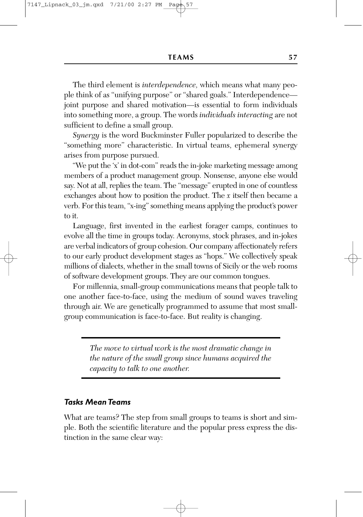The third element is *interdependence,* which means what many people think of as "unifying purpose" or "shared goals." Interdependence joint purpose and shared motivation—is essential to form individuals into something more, a group. The words *individuals interacting* are not sufficient to define a small group.

*Synergy* is the word Buckminster Fuller popularized to describe the "something more" characteristic. In virtual teams, ephemeral synergy arises from purpose pursued.

"We put the 'x' in dot-com" reads the in-joke marketing message among members of a product management group. Nonsense, anyone else would say. Not at all, replies the team. The "message" erupted in one of countless exchanges about how to position the product. The *x* itself then became a verb. For this team, "x-ing" something means applying the product's power to it.

Language, first invented in the earliest forager camps, continues to evolve all the time in groups today. Acronyms, stock phrases, and in-jokes are verbal indicators of group cohesion. Our company affectionately refers to our early product development stages as "hops." We collectively speak millions of dialects, whether in the small towns of Sicily or the web rooms of software development groups. They are our common tongues.

For millennia, small-group communications means that people talk to one another face-to-face, using the medium of sound waves traveling through air. We are genetically programmed to assume that most smallgroup communication is face-to-face. But reality is changing.

> *The move to virtual work is the most dramatic change in the nature of the small group since humans acquired the capacity to talk to one another.*

#### *Tasks Mean Teams*

What are teams? The step from small groups to teams is short and simple. Both the scientific literature and the popular press express the distinction in the same clear way: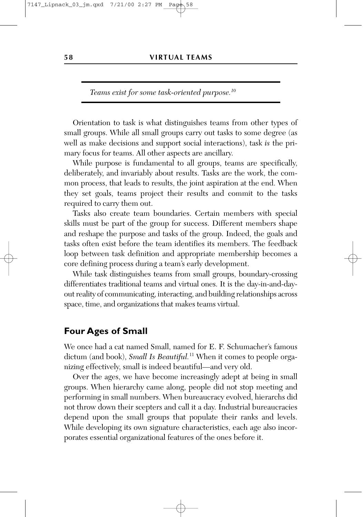*Teams exist for some task-oriented purpose.10*

Orientation to task is what distinguishes teams from other types of small groups. While all small groups carry out tasks to some degree (as well as make decisions and support social interactions), task *is* the primary focus for teams. All other aspects are ancillary.

While purpose is fundamental to all groups, teams are specifically, deliberately, and invariably about results. Tasks are the work, the common process, that leads to results, the joint aspiration at the end. When they set goals, teams project their results and commit to the tasks required to carry them out.

Tasks also create team boundaries. Certain members with special skills must be part of the group for success. Different members shape and reshape the purpose and tasks of the group. Indeed, the goals and tasks often exist before the team identifies its members. The feedback loop between task definition and appropriate membership becomes a core defining process during a team's early development.

While task distinguishes teams from small groups, boundary-crossing differentiates traditional teams and virtual ones. It is the day-in-and-dayout reality of communicating, interacting, and building relationships across space, time, and organizations that makes teams virtual.

### **Four Ages of Small**

We once had a cat named Small, named for E. F. Schumacher's famous dictum (and book), *Small Is Beautiful*.<sup>11</sup> When it comes to people organizing effectively, small is indeed beautiful—and very old.

Over the ages, we have become increasingly adept at being in small groups. When hierarchy came along, people did not stop meeting and performing in small numbers. When bureaucracy evolved, hierarchs did not throw down their scepters and call it a day. Industrial bureaucracies depend upon the small groups that populate their ranks and levels. While developing its own signature characteristics, each age also incorporates essential organizational features of the ones before it.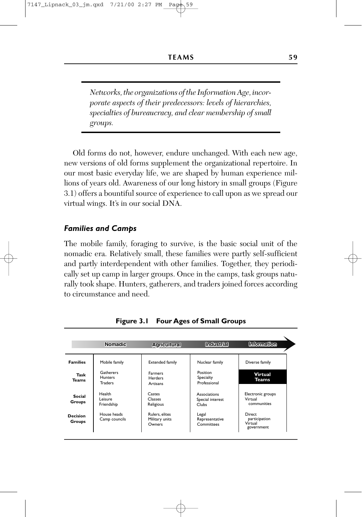*Networks, the organizations of the Information Age, incorporate aspects of their predecessors: levels of hierarchies, specialties of bureaucracy, and clear membership of small groups.*

Old forms do not, however, endure unchanged. With each new age, new versions of old forms supplement the organizational repertoire. In our most basic everyday life, we are shaped by human experience millions of years old. Awareness of our long history in small groups (Figure 3.1) offers a bountiful source of experience to call upon as we spread our virtual wings. It's in our social DNA.

#### *Families and Camps*

The mobile family, foraging to survive, is the basic social unit of the nomadic era. Relatively small, these families were partly self-sufficient and partly interdependent with other families. Together, they periodically set up camp in larger groups. Once in the camps, task groups naturally took shape. Hunters, gatherers, and traders joined forces according to circumstance and need.

|                           | <b>Nomadic</b>                                | <b>Agricultural</b>                          | <b>Industrial</b>                                | <b>Information</b>                               |
|---------------------------|-----------------------------------------------|----------------------------------------------|--------------------------------------------------|--------------------------------------------------|
| <b>Families</b>           | Mobile family                                 | <b>Extended family</b>                       | Nuclear family                                   | Diverse family                                   |
| Task<br><b>Teams</b>      | Gatherers<br><b>Hunters</b><br><b>Traders</b> | <b>Farmers</b><br><b>Herders</b><br>Artisans | Position<br>Specialty<br>Professional            | <b>Virtual</b><br>Teams                          |
| Social<br>Groups          | Health<br>Leisure<br>Friendship               | Castes<br><b>Classes</b><br>Religious        | Associations<br>Special interest<br><b>Clubs</b> | Electronic groups<br>Virtual<br>communities      |
| <b>Decision</b><br>Groups | House heads<br>Camp councils                  | Rulers, elites<br>Military units<br>Owners   | Legal<br>Representative<br>Committees            | Direct<br>participation<br>Virtual<br>government |

**Figure 3.1 Four Ages of Small Groups**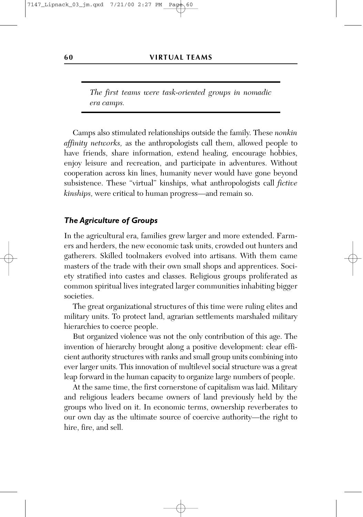*The first teams were task-oriented groups in nomadic era camps.*

Camps also stimulated relationships outside the family. These *nonkin affinity networks,* as the anthropologists call them, allowed people to have friends, share information, extend healing, encourage hobbies, enjoy leisure and recreation, and participate in adventures. Without cooperation across kin lines, humanity never would have gone beyond subsistence. These "virtual" kinships, what anthropologists call *fictive kinships,* were critical to human progress—and remain so.

#### *The Agriculture of Groups*

In the agricultural era, families grew larger and more extended. Farmers and herders, the new economic task units, crowded out hunters and gatherers. Skilled toolmakers evolved into artisans. With them came masters of the trade with their own small shops and apprentices. Society stratified into castes and classes. Religious groups proliferated as common spiritual lives integrated larger communities inhabiting bigger societies.

The great organizational structures of this time were ruling elites and military units. To protect land, agrarian settlements marshaled military hierarchies to coerce people.

But organized violence was not the only contribution of this age. The invention of hierarchy brought along a positive development: clear efficient authority structures with ranks and small group units combining into ever larger units. This innovation of multilevel social structure was a great leap forward in the human capacity to organize large numbers of people.

At the same time, the first cornerstone of capitalism was laid. Military and religious leaders became owners of land previously held by the groups who lived on it. In economic terms, ownership reverberates to our own day as the ultimate source of coercive authority—the right to hire, fire, and sell.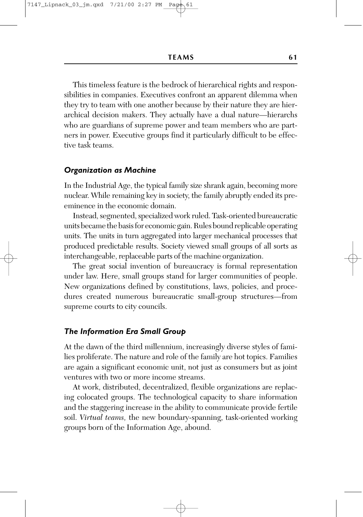This timeless feature is the bedrock of hierarchical rights and responsibilities in companies. Executives confront an apparent dilemma when they try to team with one another because by their nature they are hierarchical decision makers. They actually have a dual nature—hierarchs who are guardians of supreme power and team members who are partners in power. Executive groups find it particularly difficult to be effective task teams.

#### *Organization as Machine*

In the Industrial Age, the typical family size shrank again, becoming more nuclear. While remaining key in society, the family abruptly ended its preeminence in the economic domain.

Instead, segmented, specialized work ruled. Task-oriented bureaucratic units became the basis for economic gain. Rules bound replicable operating units. The units in turn aggregated into larger mechanical processes that produced predictable results. Society viewed small groups of all sorts as interchangeable, replaceable parts of the machine organization.

The great social invention of bureaucracy is formal representation under law. Here, small groups stand for larger communities of people. New organizations defined by constitutions, laws, policies, and procedures created numerous bureaucratic small-group structures—from supreme courts to city councils.

#### *The Information Era Small Group*

At the dawn of the third millennium, increasingly diverse styles of families proliferate. The nature and role of the family are hot topics. Families are again a significant economic unit, not just as consumers but as joint ventures with two or more income streams.

At work, distributed, decentralized, flexible organizations are replacing colocated groups. The technological capacity to share information and the staggering increase in the ability to communicate provide fertile soil. *Virtual teams,* the new boundary-spanning, task-oriented working groups born of the Information Age, abound.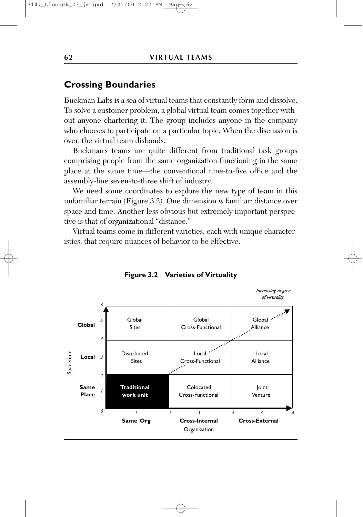# **Crossing Boundaries**

Buckman Labs is a sea of virtual teams that constantly form and dissolve. To solve a customer problem, a global virtual team comes together without anyone chartering it. The group includes anyone in the company who chooses to participate on a particular topic. When the discussion is over, the virtual team disbands.

Buckman's teams are quite different from traditional task groups comprising people from the same organization functioning in the same place at the same time—the conventional nine-to-five office and the assembly-line seven-to-three shift of industry.

We need some coordinates to explore the new type of team in this unfamiliar terrain (Figure 3.2). One dimension *is* familiar: distance over space and time. Another less obvious but extremely important perspective is that of organizational "distance."

Virtual teams come in different varieties, each with unique characteristics, that require nuances of behavior to be effective.



#### **Figure 3.2 Varieties of Virtuality**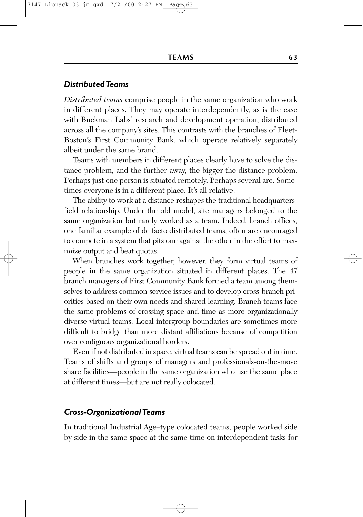#### *Distributed Teams*

*Distributed teams* comprise people in the same organization who work in different places. They may operate interdependently, as is the case with Buckman Labs' research and development operation, distributed across all the company's sites. This contrasts with the branches of Fleet-Boston's First Community Bank, which operate relatively separately albeit under the same brand.

Teams with members in different places clearly have to solve the distance problem, and the further away, the bigger the distance problem. Perhaps just one person is situated remotely. Perhaps several are. Sometimes everyone is in a different place. It's all relative.

The ability to work at a distance reshapes the traditional headquartersfield relationship. Under the old model, site managers belonged to the same organization but rarely worked as a team. Indeed, branch offices, one familiar example of de facto distributed teams, often are encouraged to compete in a system that pits one against the other in the effort to maximize output and beat quotas.

When branches work together, however, they form virtual teams of people in the same organization situated in different places. The 47 branch managers of First Community Bank formed a team among themselves to address common service issues and to develop cross-branch priorities based on their own needs and shared learning. Branch teams face the same problems of crossing space and time as more organizationally diverse virtual teams. Local intergroup boundaries are sometimes more difficult to bridge than more distant affiliations because of competition over contiguous organizational borders.

Even if not distributed in space, virtual teams can be spread out in time. Teams of shifts and groups of managers and professionals-on-the-move share facilities—people in the same organization who use the same place at different times—but are not really colocated.

#### *Cross-Organizational Teams*

In traditional Industrial Age–type colocated teams, people worked side by side in the same space at the same time on interdependent tasks for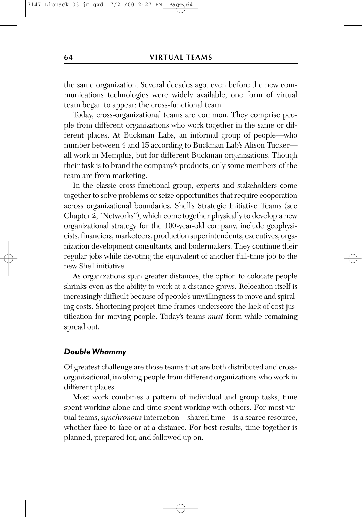the same organization. Several decades ago, even before the new communications technologies were widely available, one form of virtual team began to appear: the cross-functional team.

Today, cross-organizational teams are common. They comprise people from different organizations who work together in the same or different places. At Buckman Labs, an informal group of people—who number between 4 and 15 according to Buckman Lab's Alison Tucker all work in Memphis, but for different Buckman organizations. Though their task is to brand the company's products, only some members of the team are from marketing.

In the classic cross-functional group, experts and stakeholders come together to solve problems or seize opportunities that require cooperation across organizational boundaries. Shell's Strategic Initiative Teams (see Chapter 2, "Networks"), which come together physically to develop a new organizational strategy for the 100-year-old company, include geophysicists, financiers, marketeers, production superintendents, executives, organization development consultants, and boilermakers. They continue their regular jobs while devoting the equivalent of another full-time job to the new Shell initiative.

As organizations span greater distances, the option to colocate people shrinks even as the ability to work at a distance grows. Relocation itself is increasingly difficult because of people's unwillingness to move and spiraling costs. Shortening project time frames underscore the lack of cost justification for moving people. Today's teams *must* form while remaining spread out.

#### *Double Whammy*

Of greatest challenge are those teams that are both distributed and crossorganizational, involving people from different organizations who work in different places.

Most work combines a pattern of individual and group tasks, time spent working alone and time spent working with others. For most virtual teams, *synchronous* interaction—shared time—is a scarce resource, whether face-to-face or at a distance. For best results, time together is planned, prepared for, and followed up on.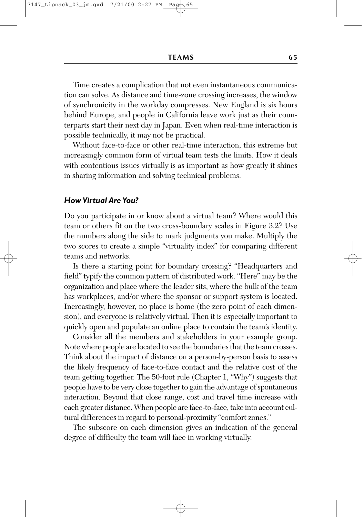Time creates a complication that not even instantaneous communication can solve. As distance and time-zone crossing increases, the window of synchronicity in the workday compresses. New England is six hours behind Europe, and people in California leave work just as their counterparts start their next day in Japan. Even when real-time interaction is possible technically, it may not be practical.

Without face-to-face or other real-time interaction, this extreme but increasingly common form of virtual team tests the limits. How it deals with contentious issues virtually is as important as how greatly it shines in sharing information and solving technical problems.

#### *How Virtual Are You?*

Do you participate in or know about a virtual team? Where would this team or others fit on the two cross-boundary scales in Figure 3.2? Use the numbers along the side to mark judgments you make. Multiply the two scores to create a simple "virtuality index" for comparing different teams and networks.

Is there a starting point for boundary crossing? "Headquarters and field" typify the common pattern of distributed work. "Here" may be the organization and place where the leader sits, where the bulk of the team has workplaces, and/or where the sponsor or support system is located. Increasingly, however, no place is home (the zero point of each dimension), and everyone is relatively virtual. Then it is especially important to quickly open and populate an online place to contain the team's identity.

Consider all the members and stakeholders in your example group. Note where people are located to see the boundaries that the team crosses. Think about the impact of distance on a person-by-person basis to assess the likely frequency of face-to-face contact and the relative cost of the team getting together. The 50-foot rule (Chapter 1, "Why") suggests that people have to be very close together to gain the advantage of spontaneous interaction. Beyond that close range, cost and travel time increase with each greater distance. When people are face-to-face, take into account cultural differences in regard to personal-proximity "comfort zones."

The subscore on each dimension gives an indication of the general degree of difficulty the team will face in working virtually.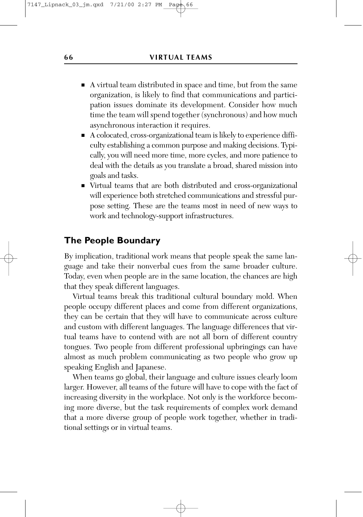- A virtual team distributed in space and time, but from the same organization, is likely to find that communications and participation issues dominate its development. Consider how much time the team will spend together (synchronous) and how much asynchronous interaction it requires.
- A colocated, cross-organizational team is likely to experience difficulty establishing a common purpose and making decisions. Typically, you will need more time, more cycles, and more patience to deal with the details as you translate a broad, shared mission into goals and tasks.
- Virtual teams that are both distributed and cross-organizational will experience both stretched communications and stressful purpose setting. These are the teams most in need of new ways to work and technology-support infrastructures.

# **The People Boundary**

By implication, traditional work means that people speak the same language and take their nonverbal cues from the same broader culture. Today, even when people are in the same location, the chances are high that they speak different languages.

Virtual teams break this traditional cultural boundary mold. When people occupy different places and come from different organizations, they can be certain that they will have to communicate across culture and custom with different languages. The language differences that virtual teams have to contend with are not all born of different country tongues. Two people from different professional upbringings can have almost as much problem communicating as two people who grow up speaking English and Japanese.

When teams go global, their language and culture issues clearly loom larger. However, all teams of the future will have to cope with the fact of increasing diversity in the workplace. Not only is the workforce becoming more diverse, but the task requirements of complex work demand that a more diverse group of people work together, whether in traditional settings or in virtual teams.